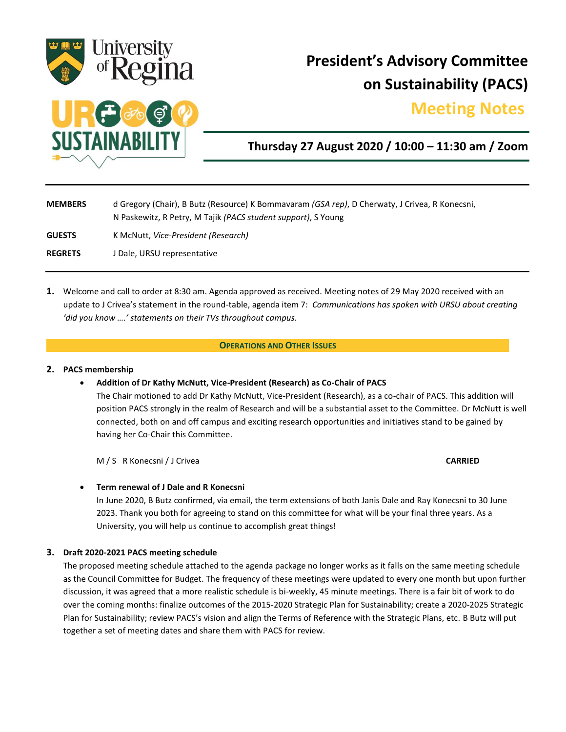

# **President's Advisory Committee on Sustainability (PACS)**

# **Meeting Notes.**



## **Thursday 27 August 2020 / 10:00 – 11:30 am / Zoom**

| <b>MEMBERS</b> | d Gregory (Chair), B Butz (Resource) K Bommavaram <i>(GSA rep)</i> , D Cherwaty, J Crivea, R Konecsni,<br>N Paskewitz, R Petry, M Tajik (PACS student support), S Young |
|----------------|-------------------------------------------------------------------------------------------------------------------------------------------------------------------------|
| <b>GUESTS</b>  | K McNutt, Vice-President (Research)                                                                                                                                     |
| <b>REGRETS</b> | J Dale, URSU representative                                                                                                                                             |

**1.** Welcome and call to order at 8:30 am. Agenda approved as received. Meeting notes of 29 May 2020 received with an update to J Crivea's statement in the round-table, agenda item 7: *Communications has spoken with URSU about creating 'did you know ….' statements on their TVs throughout campus.*

#### **OPERATIONS AND OTHER ISSUES**

#### **2. PACS membership**

**Addition of Dr Kathy McNutt, Vice-President (Research) as Co-Chair of PACS**

The Chair motioned to add Dr Kathy McNutt, Vice-President (Research), as a co-chair of PACS. This addition will position PACS strongly in the realm of Research and will be a substantial asset to the Committee. Dr McNutt is well connected, both on and off campus and exciting research opportunities and initiatives stand to be gained by having her Co-Chair this Committee.

M / S R Konecsni / J Crivea **CARRIED**

#### **Term renewal of J Dale and R Konecsni**

In June 2020, B Butz confirmed, via email, the term extensions of both Janis Dale and Ray Konecsni to 30 June 2023. Thank you both for agreeing to stand on this committee for what will be your final three years. As a University, you will help us continue to accomplish great things!

#### **3. Draft 2020-2021 PACS meeting schedule**

The proposed meeting schedule attached to the agenda package no longer works as it falls on the same meeting schedule as the Council Committee for Budget. The frequency of these meetings were updated to every one month but upon further discussion, it was agreed that a more realistic schedule is bi-weekly, 45 minute meetings. There is a fair bit of work to do over the coming months: finalize outcomes of the 2015-2020 Strategic Plan for Sustainability; create a 2020-2025 Strategic Plan for Sustainability; review PACS's vision and align the Terms of Reference with the Strategic Plans, etc. B Butz will put together a set of meeting dates and share them with PACS for review.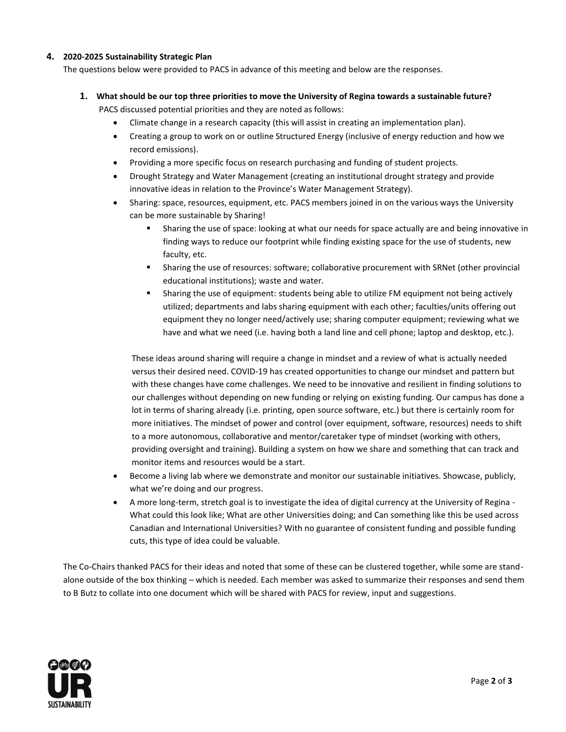### **4. 2020-2025 Sustainability Strategic Plan**

The questions below were provided to PACS in advance of this meeting and below are the responses.

- **1. What should be our top three priorities to move the University of Regina towards a sustainable future?** PACS discussed potential priorities and they are noted as follows:
	- Climate change in a research capacity (this will assist in creating an implementation plan).
	- Creating a group to work on or outline Structured Energy (inclusive of energy reduction and how we record emissions).
	- Providing a more specific focus on research purchasing and funding of student projects.
	- Drought Strategy and Water Management (creating an institutional drought strategy and provide innovative ideas in relation to the Province's Water Management Strategy).
	- Sharing: space, resources, equipment, etc. PACS members joined in on the various ways the University can be more sustainable by Sharing!
		- Sharing the use of space: looking at what our needs for space actually are and being innovative in finding ways to reduce our footprint while finding existing space for the use of students, new faculty, etc.
		- Sharing the use of resources: software; collaborative procurement with SRNet (other provincial educational institutions); waste and water.
		- Sharing the use of equipment: students being able to utilize FM equipment not being actively utilized; departments and labs sharing equipment with each other; faculties/units offering out equipment they no longer need/actively use; sharing computer equipment; reviewing what we have and what we need (i.e. having both a land line and cell phone; laptop and desktop, etc.).

These ideas around sharing will require a change in mindset and a review of what is actually needed versus their desired need. COVID-19 has created opportunities to change our mindset and pattern but with these changes have come challenges. We need to be innovative and resilient in finding solutions to our challenges without depending on new funding or relying on existing funding. Our campus has done a lot in terms of sharing already (i.e. printing, open source software, etc.) but there is certainly room for more initiatives. The mindset of power and control (over equipment, software, resources) needs to shift to a more autonomous, collaborative and mentor/caretaker type of mindset (working with others, providing oversight and training). Building a system on how we share and something that can track and monitor items and resources would be a start.

- Become a living lab where we demonstrate and monitor our sustainable initiatives. Showcase, publicly, what we're doing and our progress.
- A more long-term, stretch goal is to investigate the idea of digital currency at the University of Regina What could this look like; What are other Universities doing; and Can something like this be used across Canadian and International Universities? With no guarantee of consistent funding and possible funding cuts, this type of idea could be valuable.

The Co-Chairs thanked PACS for their ideas and noted that some of these can be clustered together, while some are standalone outside of the box thinking – which is needed. Each member was asked to summarize their responses and send them to B Butz to collate into one document which will be shared with PACS for review, input and suggestions.